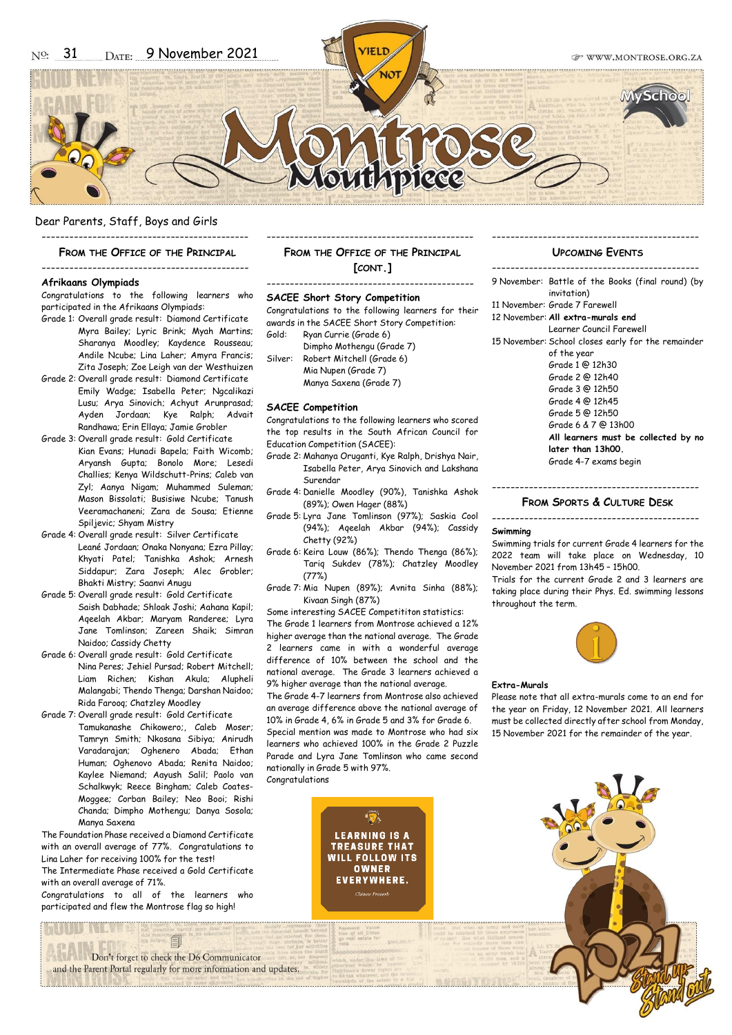#### Dear Parents, Staff, Boys and Girls ---------------------------------------------

#### **FROM THE OFFICE OF THE PRINCIPAL**

## ---------------------------------------------

### **Afrikaans Olympiads**

Congratulations to the following learners who participated in the Afrikaans Olympiads:

- Grade 1: Overall grade result: Diamond Certificate Myra Bailey; Lyric Brink; Myah Martins; Sharanya Moodley; Kaydence Rousseau; Andile Ncube; Lina Laher; Amyra Francis; Zita Joseph; Zoe Leigh van der Westhuizen
- Grade 2: Overall grade result: Diamond Certificate Emily Wadge; Isabella Peter; Ngcalikazi Lusu; Arya Sinovich; Achyut Arunprasad; Ayden Jordaan; Kye Ralph; Advait Randhawa; Erin Ellaya; Jamie Grobler
- Grade 3: Overall grade result: Gold Certificate Kian Evans; Hunadi Bapela; Faith Wicomb; Aryansh Gupta; Bonolo More; Lesedi Challies; Kenya Wildschutt-Prins; Caleb van Zyl; Aanya Nigam; Muhammed Suleman; Mason Bissolati; Busisiwe Ncube; Tanush Veeramachaneni; Zara de Sousa; Etienne Spiljevic; Shyam Mistry
- Grade 4: Overall grade result: Silver Certificate Leané Jordaan; Onaka Nonyana; Ezra Pillay; Khyati Patel; Tanishka Ashok; Arnesh Siddapur; Zara Joseph; Alec Grobler; Bhakti Mistry; Saanvi Anugu
- Grade 5: Overall grade result: Gold Certificate Saish Dabhade; Shloak Joshi; Aahana Kapil; Aqeelah Akbar; Maryam Randeree; Lyra Jane Tomlinson; Zareen Shaik; Simran Naidoo; Cassidy Chetty
- Grade 6: Overall grade result: Gold Certificate Nina Peres; Jehiel Pursad; Robert Mitchell; Liam Richen; Kishan Akula; Alupheli Malangabi; Thendo Thenga; Darshan Naidoo; Rida Farooq; Chatzley Moodley
- Grade 7: Overall grade result: Gold Certificate Tamukanashe Chikowero;, Caleb Moser; Tamryn Smith; Nkosana Sibiya; Anirudh Varadarajan; Oghenero Abada; Ethan Human; Oghenovo Abada; Renita Naidoo; Kaylee Niemand; Aayush Salil; Paolo van Schalkwyk; Reece Bingham; Caleb Coates-Moggee; Corban Bailey; Neo Booi; Rishi Chanda; Dimpho Mothengu; Danya Sosola; Manya Saxena

The Foundation Phase received a Diamond Certificate with an overall average of 77%. Congratulations to Lina Laher for receiving 100% for the test!

The Intermediate Phase received a Gold Certificate with an overall average of 71%.

Congratulations to all of the learners who participated and flew the Montrose flag so high!

Don't forget to check the D6 Communicator and the Parent Portal regularly for more information and updates.

### --------------------------------------------- **FROM THE OFFICE OF THE PRINCIPAL [CONT.]**

---------------------------------------------

#### **SACEE Short Story Competition**

Congratulations to the following learners for their awards in the SACEE Short Story Competition: Gold: Ryan Currie (Grade 6)

Dimpho Mothengu (Grade 7)

Silver: Robert Mitchell (Grade 6) Mia Nupen (Grade 7) Manya Saxena (Grade 7)

#### **SACEE Competition**

Congratulations to the following learners who scored the top results in the South African Council for Education Competition (SACEE):

- Grade 2: Mahanya Oruganti, Kye Ralph, Drishya Nair, Isabella Peter, Arya Sinovich and Lakshana Surendar
- Grade 4: Danielle Moodley (90%), Tanishka Ashok (89%); Owen Hager (88%)
- Grade 5: Lyra Jane Tomlinson (97%); Saskia Cool (94%); Aqeelah Akbar (94%); Cassidy Chetty (92%)
- Grade 6: Keira Louw (86%); Thendo Thenga (86%); Tariq Sukdev (78%); Chatzley Moodley (77%)
- Grade 7: Mia Nupen (89%); Avnita Sinha (88%); Kivaan Singh (87%)

Some interesting SACEE Competititon statistics: The Grade 1 learners from Montrose achieved a 12% higher average than the national average. The Grade 2 learners came in with a wonderful average difference of 10% between the school and the national average. The Grade 3 learners achieved a 9% higher average than the national average.

The Grade 4-7 learners from Montrose also achieved an average difference above the national average of 10% in Grade 4, 6% in Grade 5 and 3% for Grade 6. Special mention was made to Montrose who had six learners who achieved 100% in the Grade 2 Puzzle Parade and Lyra Jane Tomlinson who came second nationally in Grade 5 with 97%. Congratulations

> **LEARNING IS A TREASURE THAT WILL FOLLOW ITS** OWNER **EVERYWHERE.**

### **UPCOMING EVENTS**

- 9 November: Battle of the Books (final round) (by invitation)
- 11 November: Grade 7 Farewell
- 12 November: **All extra-murals end**

---------------------------------------------

Learner Council Farewell 15 November: School closes early for the remainder

- of the year
	- Grade 1 @ 12h30
	- Grade 2 @ 12h40
	- Grade 3 @ 12h50 Grade 4 @ 12h45
	- Grade 5 @ 12h50
	- Grade 6 & 7 @ 13h00
	- **All learners must be collected by no later than 13h00.**
		- Grade 4-7 exams begin

### **FROM SPORTS & CULTURE DESK**

---------------------------------------------

# ---------------------------------------------

#### **Swimming**

Swimming trials for current Grade 4 learners for the 2022 team will take place on Wednesday, 10 November 2021 from 13h45 – 15h00.

Trials for the current Grade 2 and 3 learners are taking place during their Phys. Ed. swimming lessons throughout the term.



#### **Extra-Murals**

Please note that all extra-murals come to an end for the year on Friday, 12 November 2021. All learners must be collected directly after school from Monday, 15 November 2021 for the remainder of the year.